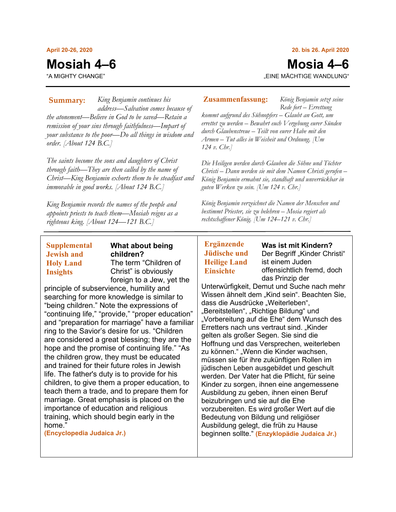#### **April 20-26, 2020**

# **Mosiah 4–6**

"A MIGHTY CHANGE"

#### **20. bis 26. April 2020**

# **Mosia 4–6**

*König Benjamin setzt seine* 

"EINE MÄCHTIGE WANDLUNG"

*King Benjamin continues his*  **Summary: Zusammenfassung:** *address—Salvation comes because of the atonement—Believe in God to be saved—Retain a remission of your sins through faithfulness—Impart of your substance to the poor—Do all things in wisdom and order. [About 124 B.C.]*

*The saints become the sons and daughters of Christ through faith—They are then called by the name of Christ—King Benjamin exhorts them to be steadfast and immovable in good works. [About 124 B.C.]*

*King Benjamin records the names of the people and appoints priests to teach them—Mosiah reigns as a righteous king. [About 124—121 B.C.]*

# **Supplemental Jewish and Holy Land Insights**

# **What about being children?** The term "Children of Christ" is obviously foreign to a Jew, yet the

principle of subservience, humility and searching for more knowledge is similar to "being children." Note the expressions of "continuing life," "provide," "proper education" and "preparation for marriage" have a familiar ring to the Savior's desire for us. "Children are considered a great blessing; they are the hope and the promise of continuing life." "As the children grow, they must be educated and trained for their future roles in Jewish life. The father's duty is to provide for his children, to give them a proper education, to teach them a trade, and to prepare them for marriage. Great emphasis is placed on the importance of education and religious training, which should begin early in the home."

**(Encyclopedia Judaica Jr.)**

*Rede fort – Errettung kommt aufgrund des Sühnopfers – Glaubt an Gott, um errettet zu werden – Bewahrt euch Vergebung eurer Sünden durch Glaubenstreue – Teilt von eurer Habe mit den Armen – Tut alles in Weisheit und Ordnung. [Um 124 v. Chr.]*

*Die Heiligen werden durch Glauben die Söhne und Töchter Christi – Dann werden sie mit dem Namen Christi gerufen – König Benjamin ermahnt sie, standhaft und unverrückbar in guten Werken zu sein. [Um 124 v. Chr.]*

*König Benjamin verzeichnet die Namen der Menschen und bestimmt Priester, sie zu belehren – Mosia regiert als rechtschaffener König. [Um 124–121 v. Chr.]*

# **Ergänzende Jüdische und Heilige Land Einsichte**

**Was ist mit Kindern?** Der Begriff "Kinder Christi" ist einem Juden offensichtlich fremd, doch das Prinzip der

Unterwürfigkeit, Demut und Suche nach mehr Wissen ähnelt dem "Kind sein". Beachten Sie, dass die Ausdrücke "Weiterleben", "Bereitstellen", "Richtige Bildung" und "Vorbereitung auf die Ehe" dem Wunsch des Erretters nach uns vertraut sind. "Kinder gelten als großer Segen. Sie sind die Hoffnung und das Versprechen, weiterleben zu können." "Wenn die Kinder wachsen, müssen sie für ihre zukünftigen Rollen im jüdischen Leben ausgebildet und geschult werden. Der Vater hat die Pflicht, für seine Kinder zu sorgen, ihnen eine angemessene Ausbildung zu geben, ihnen einen Beruf beizubringen und sie auf die Ehe vorzubereiten. Es wird großer Wert auf die Bedeutung von Bildung und religiöser Ausbildung gelegt, die früh zu Hause beginnen sollte." **(Enzyklopädie Judaica Jr.)**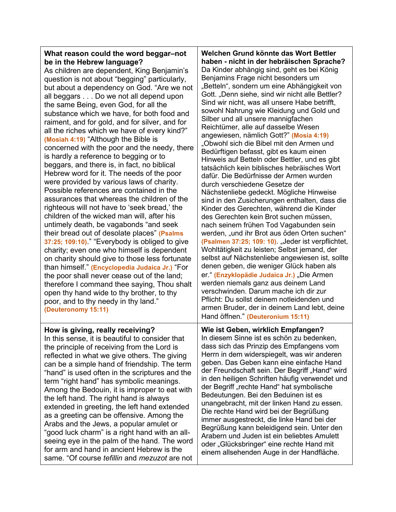# **What reason could the word beggar–not be in the Hebrew language?**

As children are dependent, King Benjamin's question is not about "begging" particularly, but about a dependency on God. "Are we not all beggars . . . Do we not all depend upon the same Being, even God, for all the substance which we have, for both food and raiment, and for gold, and for silver, and for all the riches which we have of every kind?" **(Mosiah 4:19)** "Although the Bible is concerned with the poor and the needy, there is hardly a reference to begging or to beggars, and there is, in fact, no biblical Hebrew word for it. The needs of the poor were provided by various laws of charity. Possible references are contained in the assurances that whereas the children of the righteous will not have to 'seek bread,' the children of the wicked man will, after his untimely death, be vagabonds "and seek their bread out of desolate places" **(Psalms 37:25; 109:10)**." "Everybody is obliged to give charity; even one who himself is dependent on charity should give to those less fortunate than himself." **(Encyclopedia Judaica Jr.)** "For the poor shall never cease out of the land; therefore I command thee saying, Thou shalt open thy hand wide to thy brother, to thy poor, and to thy needy in thy land." **(Deuteronomy 15:11)**

# **How is giving, really receiving?**

In this sense, it is beautiful to consider that the principle of receiving from the Lord is reflected in what we give others. The giving can be a simple hand of friendship. The term "hand" is used often in the scriptures and the term "right hand" has symbolic meanings. Among the Bedouin, it is improper to eat with the left hand. The right hand is always extended in greeting, the left hand extended as a greeting can be offensive. Among the Arabs and the Jews, a popular amulet or "good luck charm" is a right hand with an allseeing eye in the palm of the hand. The word for arm and hand in ancient Hebrew is the same. "Of course *tefillin* and *mezuzot* are not

**Welchen Grund könnte das Wort Bettler haben - nicht in der hebräischen Sprache?** Da Kinder abhängig sind, geht es bei König Benjamins Frage nicht besonders um "Betteln", sondern um eine Abhängigkeit von Gott. "Denn siehe, sind wir nicht alle Bettler? Sind wir nicht, was all unsere Habe betrifft, sowohl Nahrung wie Kleidung und Gold und Silber und all unsere mannigfachen Reichtümer, alle auf dasselbe Wesen angewiesen, nämlich Gott?" **(Mosia 4:19)** "Obwohl sich die Bibel mit den Armen und Bedürftigen befasst, gibt es kaum einen Hinweis auf Betteln oder Bettler, und es gibt tatsächlich kein biblisches hebräisches Wort dafür. Die Bedürfnisse der Armen wurden durch verschiedene Gesetze der Nächstenliebe gedeckt. Mögliche Hinweise sind in den Zusicherungen enthalten, dass die Kinder des Gerechten, während die Kinder des Gerechten kein Brot suchen müssen, nach seinem frühen Tod Vagabunden sein werden, "und ihr Brot aus öden Orten suchen" **(Psalmen 37:25; 109: 10)**. "Jeder ist verpflichtet, Wohltätigkeit zu leisten; Selbst jemand, der selbst auf Nächstenliebe angewiesen ist, sollte denen geben, die weniger Glück haben als er." **(Enzyklopädie Judaica Jr.) "Die Armen** werden niemals ganz aus deinem Land verschwinden. Darum mache ich dir zur Pflicht: Du sollst deinem notleidenden und armen Bruder, der in deinem Land lebt, deine Hand öffnen." **(Deuteronium 15:11)**

**Wie ist Geben, wirklich Empfangen?** In diesem Sinne ist es schön zu bedenken, dass sich das Prinzip des Empfangens vom Herrn in dem widerspiegelt, was wir anderen geben. Das Geben kann eine einfache Hand der Freundschaft sein. Der Begriff "Hand" wird in den heiligen Schriften häufig verwendet und der Begriff "rechte Hand" hat symbolische Bedeutungen. Bei den Beduinen ist es unangebracht, mit der linken Hand zu essen. Die rechte Hand wird bei der Begrüßung immer ausgestreckt, die linke Hand bei der Begrüßung kann beleidigend sein. Unter den Arabern und Juden ist ein beliebtes Amulett oder "Glücksbringer" eine rechte Hand mit einem allsehenden Auge in der Handfläche.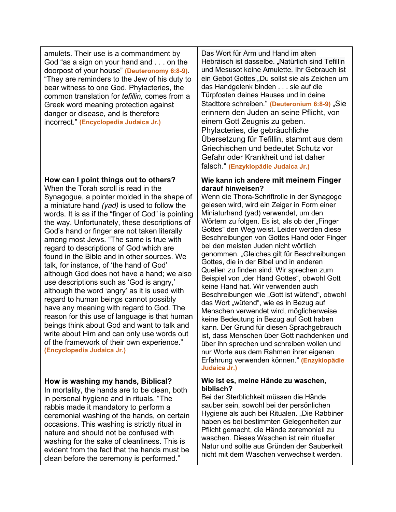| amulets. Their use is a commandment by<br>God "as a sign on your hand and on the<br>doorpost of your house" (Deuteronomy 6:8-9).<br>"They are reminders to the Jew of his duty to<br>bear witness to one God. Phylacteries, the<br>common translation for <i>tefillin</i> , comes from a<br>Greek word meaning protection against<br>danger or disease, and is therefore<br>incorrect." (Encyclopedia Judaica Jr.)                                                                                                                                                                                                                                                                                                                                                                                                                                                                                                                                                             | Das Wort für Arm und Hand im alten<br>Hebräisch ist dasselbe. "Natürlich sind Tefillin<br>und Mesusot keine Amulette. Ihr Gebrauch ist<br>ein Gebot Gottes "Du sollst sie als Zeichen um<br>das Handgelenk binden sie auf die<br>Türpfosten deines Hauses und in deine<br>Stadttore schreiben." (Deuteronium 6:8-9) "Sie<br>erinnern den Juden an seine Pflicht, von<br>einem Gott Zeugnis zu geben.<br>Phylacteries, die gebräuchliche<br>Übersetzung für Tefillin, stammt aus dem<br>Griechischen und bedeutet Schutz vor<br>Gefahr oder Krankheit und ist daher<br>falsch " (Enzyklopädie Judaica Jr.)                                                                                                                                                                                                                                                                                                                                                                                                                                          |
|--------------------------------------------------------------------------------------------------------------------------------------------------------------------------------------------------------------------------------------------------------------------------------------------------------------------------------------------------------------------------------------------------------------------------------------------------------------------------------------------------------------------------------------------------------------------------------------------------------------------------------------------------------------------------------------------------------------------------------------------------------------------------------------------------------------------------------------------------------------------------------------------------------------------------------------------------------------------------------|----------------------------------------------------------------------------------------------------------------------------------------------------------------------------------------------------------------------------------------------------------------------------------------------------------------------------------------------------------------------------------------------------------------------------------------------------------------------------------------------------------------------------------------------------------------------------------------------------------------------------------------------------------------------------------------------------------------------------------------------------------------------------------------------------------------------------------------------------------------------------------------------------------------------------------------------------------------------------------------------------------------------------------------------------|
| How can I point things out to others?<br>When the Torah scroll is read in the<br>Synagogue, a pointer molded in the shape of<br>a miniature hand (yad) is used to follow the<br>words. It is as if the "finger of God" is pointing<br>the way. Unfortunately, these descriptions of<br>God's hand or finger are not taken literally<br>among most Jews. "The same is true with<br>regard to descriptions of God which are<br>found in the Bible and in other sources. We<br>talk, for instance, of 'the hand of God'<br>although God does not have a hand; we also<br>use descriptions such as 'God is angry,'<br>although the word 'angry' as it is used with<br>regard to human beings cannot possibly<br>have any meaning with regard to God. The<br>reason for this use of language is that human<br>beings think about God and want to talk and<br>write about Him and can only use words out<br>of the framework of their own experience."<br>(Encyclopedia Judaica Jr.) | Wie kann ich andere mit meinem Finger<br>darauf hinweisen?<br>Wenn die Thora-Schriftrolle in der Synagoge<br>gelesen wird, wird ein Zeiger in Form einer<br>Miniaturhand (yad) verwendet, um den<br>Wörtern zu folgen. Es ist, als ob der "Finger<br>Gottes" den Weg weist. Leider werden diese<br>Beschreibungen von Gottes Hand oder Finger<br>bei den meisten Juden nicht wörtlich<br>genommen. "Gleiches gilt für Beschreibungen<br>Gottes, die in der Bibel und in anderen<br>Quellen zu finden sind. Wir sprechen zum<br>Beispiel von "der Hand Gottes", obwohl Gott<br>keine Hand hat. Wir verwenden auch<br>Beschreibungen wie "Gott ist wütend", obwohl<br>das Wort "wütend", wie es in Bezug auf<br>Menschen verwendet wird, möglicherweise<br>keine Bedeutung in Bezug auf Gott haben<br>kann. Der Grund für diesen Sprachgebrauch<br>ist, dass Menschen über Gott nachdenken und<br>über ihn sprechen und schreiben wollen und<br>nur Worte aus dem Rahmen ihrer eigenen<br>Erfahrung verwenden können." (Enzyklopädie<br>Judaica Jr.) |
| How is washing my hands, Biblical?<br>In mortality, the hands are to be clean, both<br>in personal hygiene and in rituals. "The<br>rabbis made it mandatory to perform a<br>ceremonial washing of the hands, on certain<br>occasions. This washing is strictly ritual in<br>nature and should not be confused with<br>washing for the sake of cleanliness. This is<br>evident from the fact that the hands must be<br>clean before the ceremony is performed."                                                                                                                                                                                                                                                                                                                                                                                                                                                                                                                 | Wie ist es, meine Hände zu waschen,<br>biblisch?<br>Bei der Sterblichkeit müssen die Hände<br>sauber sein, sowohl bei der persönlichen<br>Hygiene als auch bei Ritualen. "Die Rabbiner<br>haben es bei bestimmten Gelegenheiten zur<br>Pflicht gemacht, die Hände zeremoniell zu<br>waschen. Dieses Waschen ist rein ritueller<br>Natur und sollte aus Gründen der Sauberkeit<br>nicht mit dem Waschen verwechselt werden.                                                                                                                                                                                                                                                                                                                                                                                                                                                                                                                                                                                                                         |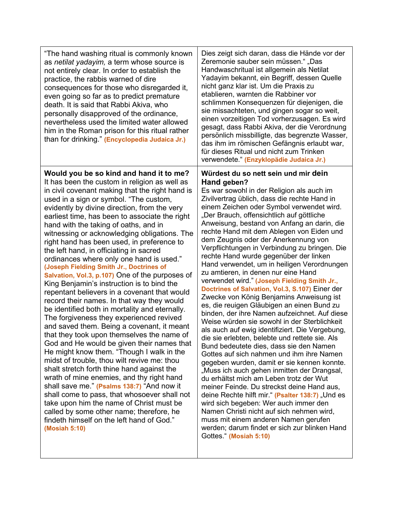| "The hand washing ritual is commonly known<br>as netilat yadayim, a term whose source is<br>not entirely clear. In order to establish the<br>practice, the rabbis warned of dire<br>consequences for those who disregarded it,<br>even going so far as to predict premature<br>death. It is said that Rabbi Akiva, who<br>personally disapproved of the ordinance,<br>nevertheless used the limited water allowed<br>him in the Roman prison for this ritual rather<br>than for drinking." (Encyclopedia Judaica Jr.)                                                                                                                                                                                                                                                                                                                                                                                                                                                                                                                                                                                                                                                                                                                                                                                                                                                                                                                               | Dies zeigt sich daran, dass die Hände vor der<br>Zeremonie sauber sein müssen." "Das<br>Handwaschritual ist allgemein als Netilat<br>Yadayim bekannt, ein Begriff, dessen Quelle<br>nicht ganz klar ist. Um die Praxis zu<br>etablieren, warnten die Rabbiner vor<br>schlimmen Konsequenzen für diejenigen, die<br>sie missachteten, und gingen sogar so weit,<br>einen vorzeitigen Tod vorherzusagen. Es wird<br>gesagt, dass Rabbi Akiva, der die Verordnung<br>persönlich missbilligte, das begrenzte Wasser,<br>das ihm im römischen Gefängnis erlaubt war,<br>für dieses Ritual und nicht zum Trinken<br>verwendete." (Enzyklopädie Judaica Jr.)                                                                                                                                                                                                                                                                                                                                                                                                                                                                                                                                                                                                                                                                                                                                                                                                                                                          |
|-----------------------------------------------------------------------------------------------------------------------------------------------------------------------------------------------------------------------------------------------------------------------------------------------------------------------------------------------------------------------------------------------------------------------------------------------------------------------------------------------------------------------------------------------------------------------------------------------------------------------------------------------------------------------------------------------------------------------------------------------------------------------------------------------------------------------------------------------------------------------------------------------------------------------------------------------------------------------------------------------------------------------------------------------------------------------------------------------------------------------------------------------------------------------------------------------------------------------------------------------------------------------------------------------------------------------------------------------------------------------------------------------------------------------------------------------------|----------------------------------------------------------------------------------------------------------------------------------------------------------------------------------------------------------------------------------------------------------------------------------------------------------------------------------------------------------------------------------------------------------------------------------------------------------------------------------------------------------------------------------------------------------------------------------------------------------------------------------------------------------------------------------------------------------------------------------------------------------------------------------------------------------------------------------------------------------------------------------------------------------------------------------------------------------------------------------------------------------------------------------------------------------------------------------------------------------------------------------------------------------------------------------------------------------------------------------------------------------------------------------------------------------------------------------------------------------------------------------------------------------------------------------------------------------------------------------------------------------------|
| Would you be so kind and hand it to me?<br>It has been the custom in religion as well as<br>in civil covenant making that the right hand is<br>used in a sign or symbol. "The custom,<br>evidently by divine direction, from the very<br>earliest time, has been to associate the right<br>hand with the taking of oaths, and in<br>witnessing or acknowledging obligations. The<br>right hand has been used, in preference to<br>the left hand, in officiating in sacred<br>ordinances where only one hand is used."<br>(Joseph Fielding Smith Jr., Doctrines of<br>Salvation, Vol.3, p.107) One of the purposes of<br>King Benjamin's instruction is to bind the<br>repentant believers in a covenant that would<br>record their names. In that way they would<br>be identified both in mortality and eternally.<br>The forgiveness they experienced revived<br>and saved them. Being a covenant, it meant<br>that they took upon themselves the name of<br>God and He would be given their names that<br>He might know them. "Though I walk in the<br>midst of trouble, thou wilt revive me: thou<br>shalt stretch forth thine hand against the<br>wrath of mine enemies, and thy right hand<br>shall save me." (Psalms 138:7) "And now it<br>shall come to pass, that whosoever shall not<br>take upon him the name of Christ must be<br>called by some other name; therefore, he<br>findeth himself on the left hand of God."<br>(Mosiah 5:10) | Würdest du so nett sein und mir dein<br>Hand geben?<br>Es war sowohl in der Religion als auch im<br>Zivilvertrag üblich, dass die rechte Hand in<br>einem Zeichen oder Symbol verwendet wird.<br>"Der Brauch, offensichtlich auf göttliche<br>Anweisung, bestand von Anfang an darin, die<br>rechte Hand mit dem Ablegen von Eiden und<br>dem Zeugnis oder der Anerkennung von<br>Verpflichtungen in Verbindung zu bringen. Die<br>rechte Hand wurde gegenüber der linken<br>Hand verwendet, um in heiligen Verordnungen<br>zu amtieren, in denen nur eine Hand<br>verwendet wird." (Joseph Fielding Smith Jr.,<br>Doctrines of Salvation, Vol.3, S.107) Einer der<br>Zwecke von König Benjamins Anweisung ist<br>es, die reuigen Gläubigen an einen Bund zu<br>binden, der ihre Namen aufzeichnet. Auf diese<br>Weise würden sie sowohl in der Sterblichkeit<br>als auch auf ewig identifiziert. Die Vergebung,<br>die sie erlebten, belebte und rettete sie. Als<br>Bund bedeutete dies, dass sie den Namen<br>Gottes auf sich nahmen und ihm ihre Namen<br>gegeben wurden, damit er sie kennen konnte.<br>"Muss ich auch gehen inmitten der Drangsal,<br>du erhältst mich am Leben trotz der Wut<br>meiner Feinde. Du streckst deine Hand aus,<br>deine Rechte hilft mir." (Psalter 138:7) "Und es<br>wird sich begeben: Wer auch immer den<br>Namen Christi nicht auf sich nehmen wird,<br>muss mit einem anderen Namen gerufen<br>werden; darum findet er sich zur blinken Hand<br>Gottes." (Mosiah 5:10) |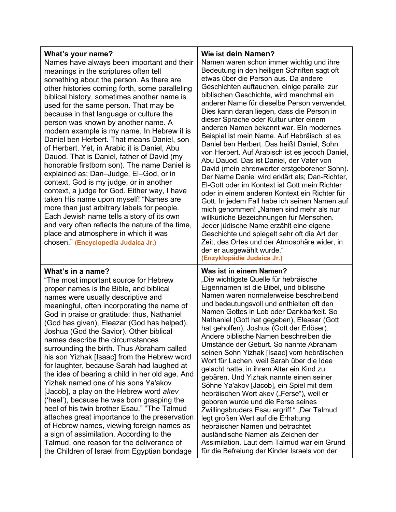# **What's your name?**

Names have always been important and their meanings in the scriptures often tell something about the person. As there are other histories coming forth, some paralleling biblical history, sometimes another name is used for the same person. That may be because in that language or culture the person was known by another name. A modern example is my name. In Hebrew it is Daniel ben Herbert. That means Daniel, son of Herbert. Yet, in Arabic it is Daniel, Abu Dauod. That is Daniel, father of David (my honorable firstborn son). The name Daniel is explained as; Dan–Judge, El–God, or in context, God is my judge, or in another context, a judge for God. Either way, I have taken His name upon myself! "Names are more than just arbitrary labels for people. Each Jewish name tells a story of its own and very often reflects the nature of the time, place and atmosphere in which it was chosen." **(Encyclopedia Judaica Jr.)**

# **What's in a name?**

"The most important source for Hebrew proper names is the Bible, and biblical names were usually descriptive and meaningful, often incorporating the name of God in praise or gratitude; thus, Nathaniel (God has given), Eleazar (God has helped), Joshua (God the Savior). Other biblical names describe the circumstances surrounding the birth. Thus Abraham called his son Yizhak [Isaac] from the Hebrew word for laughter, because Sarah had laughed at the idea of bearing a child in her old age. And Yizhak named one of his sons Ya'akov [Jacob], a play on the Hebrew word *akev*  ('heel'), because he was born grasping the heel of his twin brother Esau." "The Talmud attaches great importance to the preservation of Hebrew names, viewing foreign names as a sign of assimilation. According to the Talmud, one reason for the deliverance of the Children of Israel from Egyptian bondage

## **Wie ist dein Namen?**

Namen waren schon immer wichtig und ihre Bedeutung in den heiligen Schriften sagt oft etwas über die Person aus. Da andere Geschichten auftauchen, einige parallel zur biblischen Geschichte, wird manchmal ein anderer Name für dieselbe Person verwendet. Dies kann daran liegen, dass die Person in dieser Sprache oder Kultur unter einem anderen Namen bekannt war. Ein modernes Beispiel ist mein Name. Auf Hebräisch ist es Daniel ben Herbert. Das heißt Daniel, Sohn von Herbert. Auf Arabisch ist es jedoch Daniel, Abu Dauod. Das ist Daniel, der Vater von David (mein ehrenwerter erstgeborener Sohn). Der Name Daniel wird erklärt als; Dan-Richter, El-Gott oder im Kontext ist Gott mein Richter oder in einem anderen Kontext ein Richter für Gott. In jedem Fall habe ich seinen Namen auf mich genommen! "Namen sind mehr als nur willkürliche Bezeichnungen für Menschen. Jeder jüdische Name erzählt eine eigene Geschichte und spiegelt sehr oft die Art der Zeit, des Ortes und der Atmosphäre wider, in der er ausgewählt wurde." **(Enzyklopädie Judaica Jr.)**

## **Was ist in einem Namen?**

"Die wichtigste Quelle für hebräische Eigennamen ist die Bibel, und biblische Namen waren normalerweise beschreibend und bedeutungsvoll und enthielten oft den Namen Gottes in Lob oder Dankbarkeit. So Nathaniel (Gott hat gegeben), Eleasar (Gott hat geholfen), Joshua (Gott der Erlöser). Andere biblische Namen beschreiben die Umstände der Geburt. So nannte Abraham seinen Sohn Yizhak [Isaac] vom hebräischen Wort für Lachen, weil Sarah über die Idee gelacht hatte, in ihrem Alter ein Kind zu gebären. Und Yizhak nannte einen seiner Söhne Ya'akov [Jacob], ein Spiel mit dem hebräischen Wort akev ("Ferse"), weil er geboren wurde und die Ferse seines Zwillingsbruders Esau ergriff." "Der Talmud legt großen Wert auf die Erhaltung hebräischer Namen und betrachtet ausländische Namen als Zeichen der Assimilation. Laut dem Talmud war ein Grund für die Befreiung der Kinder Israels von der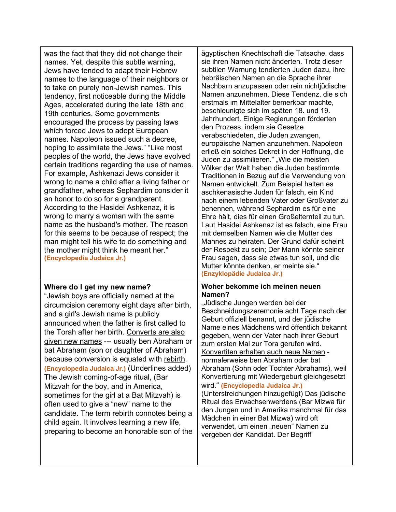| was the fact that they did not change their<br>names. Yet, despite this subtle warning,<br>Jews have tended to adapt their Hebrew<br>names to the language of their neighbors or<br>to take on purely non-Jewish names. This<br>tendency, first noticeable during the Middle<br>Ages, accelerated during the late 18th and<br>19th centuries. Some governments<br>encouraged the process by passing laws<br>which forced Jews to adopt European<br>names. Napoleon issued such a decree,<br>hoping to assimilate the Jews." "Like most<br>peoples of the world, the Jews have evolved<br>certain traditions regarding the use of names.<br>For example, Ashkenazi Jews consider it<br>wrong to name a child after a living father or<br>grandfather, whereas Sephardim consider it<br>an honor to do so for a grandparent.<br>According to the Hasidei Ashkenaz, it is<br>wrong to marry a woman with the same<br>name as the husband's mother. The reason<br>for this seems to be because of respect; the<br>man might tell his wife to do something and<br>the mother might think he meant her."<br>(Encyclopedia Judaica Jr.) | ägyptischen Knechtschaft die Tatsache, dass<br>sie ihren Namen nicht änderten. Trotz dieser<br>subtilen Warnung tendierten Juden dazu, ihre<br>hebräischen Namen an die Sprache ihrer<br>Nachbarn anzupassen oder rein nichtjüdische<br>Namen anzunehmen. Diese Tendenz, die sich<br>erstmals im Mittelalter bemerkbar machte,<br>beschleunigte sich im späten 18. und 19.<br>Jahrhundert. Einige Regierungen förderten<br>den Prozess, indem sie Gesetze<br>verabschiedeten, die Juden zwangen,<br>europäische Namen anzunehmen. Napoleon<br>erließ ein solches Dekret in der Hoffnung, die<br>Juden zu assimilieren." "Wie die meisten<br>Völker der Welt haben die Juden bestimmte<br>Traditionen in Bezug auf die Verwendung von<br>Namen entwickelt. Zum Beispiel halten es<br>aschkenasische Juden für falsch, ein Kind<br>nach einem lebenden Vater oder Großvater zu<br>benennen, während Sephardim es für eine<br>Ehre hält, dies für einen Großelternteil zu tun.<br>Laut Hasidei Ashkenaz ist es falsch, eine Frau<br>mit demselben Namen wie die Mutter des<br>Mannes zu heiraten. Der Grund dafür scheint<br>der Respekt zu sein; Der Mann könnte seiner<br>Frau sagen, dass sie etwas tun soll, und die<br>Mutter könnte denken, er meinte sie."<br>(Enzyklopädie Judaica Jr.) |
|----------------------------------------------------------------------------------------------------------------------------------------------------------------------------------------------------------------------------------------------------------------------------------------------------------------------------------------------------------------------------------------------------------------------------------------------------------------------------------------------------------------------------------------------------------------------------------------------------------------------------------------------------------------------------------------------------------------------------------------------------------------------------------------------------------------------------------------------------------------------------------------------------------------------------------------------------------------------------------------------------------------------------------------------------------------------------------------------------------------------------------|----------------------------------------------------------------------------------------------------------------------------------------------------------------------------------------------------------------------------------------------------------------------------------------------------------------------------------------------------------------------------------------------------------------------------------------------------------------------------------------------------------------------------------------------------------------------------------------------------------------------------------------------------------------------------------------------------------------------------------------------------------------------------------------------------------------------------------------------------------------------------------------------------------------------------------------------------------------------------------------------------------------------------------------------------------------------------------------------------------------------------------------------------------------------------------------------------------------------------------------------------------------------------------------------|
| Where do I get my new name?<br>"Jewish boys are officially named at the<br>circumcision ceremony eight days after birth,<br>and a girl's Jewish name is publicly<br>announced when the father is first called to<br>the Torah after her birth. Converts are also<br>given new names --- usually ben Abraham or<br>bat Abraham (son or daughter of Abraham)<br>because conversion is equated with rebirth.<br>(Encyclopedia Judaica Jr.) (Underlines added)<br>The Jewish coming-of-age ritual, (Bar<br>Mitzvah for the boy, and in America,<br>sometimes for the girl at a Bat Mitzvah) is<br>often used to give a "new" name to the<br>candidate. The term rebirth connotes being a<br>child again. It involves learning a new life,<br>preparing to become an honorable son of the                                                                                                                                                                                                                                                                                                                                             | Woher bekomme ich meinen neuen<br>Namen?<br>"Jüdische Jungen werden bei der<br>Beschneidungszeremonie acht Tage nach der<br>Geburt offiziell benannt, und der jüdische<br>Name eines Mädchens wird öffentlich bekannt<br>gegeben, wenn der Vater nach ihrer Geburt<br>zum ersten Mal zur Tora gerufen wird.<br>Konvertiten erhalten auch neue Namen -<br>normalerweise ben Abraham oder bat<br>Abraham (Sohn oder Tochter Abrahams), weil<br>Konvertierung mit Wiedergeburt gleichgesetzt<br>wird." (Encyclopedia Judaica Jr.)<br>(Unterstreichungen hinzugefügt) Das jüdische<br>Ritual des Erwachsenwerdens (Bar Mizwa für<br>den Jungen und in Amerika manchmal für das<br>Mädchen in einer Bat Mizwa) wird oft<br>verwendet, um einen "neuen" Namen zu<br>vergeben der Kandidat. Der Begriff                                                                                                                                                                                                                                                                                                                                                                                                                                                                                             |